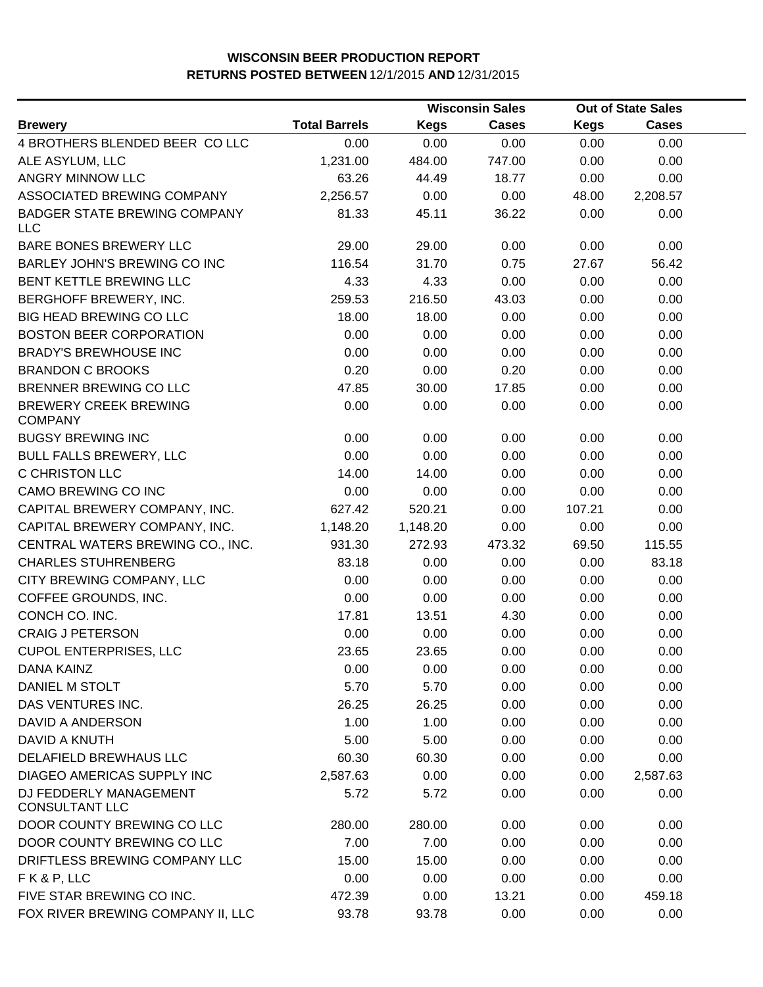|                                                   |                      |             | <b>Wisconsin Sales</b> |             | <b>Out of State Sales</b> |  |
|---------------------------------------------------|----------------------|-------------|------------------------|-------------|---------------------------|--|
| <b>Brewery</b>                                    | <b>Total Barrels</b> | <b>Kegs</b> | <b>Cases</b>           | <b>Kegs</b> | <b>Cases</b>              |  |
| 4 BROTHERS BLENDED BEER CO LLC                    | 0.00                 | 0.00        | 0.00                   | 0.00        | 0.00                      |  |
| ALE ASYLUM, LLC                                   | 1,231.00             | 484.00      | 747.00                 | 0.00        | 0.00                      |  |
| ANGRY MINNOW LLC                                  | 63.26                | 44.49       | 18.77                  | 0.00        | 0.00                      |  |
| ASSOCIATED BREWING COMPANY                        | 2,256.57             | 0.00        | 0.00                   | 48.00       | 2,208.57                  |  |
| <b>BADGER STATE BREWING COMPANY</b><br><b>LLC</b> | 81.33                | 45.11       | 36.22                  | 0.00        | 0.00                      |  |
| BARE BONES BREWERY LLC                            | 29.00                | 29.00       | 0.00                   | 0.00        | 0.00                      |  |
| BARLEY JOHN'S BREWING CO INC                      | 116.54               | 31.70       | 0.75                   | 27.67       | 56.42                     |  |
| <b>BENT KETTLE BREWING LLC</b>                    | 4.33                 | 4.33        | 0.00                   | 0.00        | 0.00                      |  |
| BERGHOFF BREWERY, INC.                            | 259.53               | 216.50      | 43.03                  | 0.00        | 0.00                      |  |
| <b>BIG HEAD BREWING CO LLC</b>                    | 18.00                | 18.00       | 0.00                   | 0.00        | 0.00                      |  |
| <b>BOSTON BEER CORPORATION</b>                    | 0.00                 | 0.00        | 0.00                   | 0.00        | 0.00                      |  |
| <b>BRADY'S BREWHOUSE INC</b>                      | 0.00                 | 0.00        | 0.00                   | 0.00        | 0.00                      |  |
| <b>BRANDON C BROOKS</b>                           | 0.20                 | 0.00        | 0.20                   | 0.00        | 0.00                      |  |
| BRENNER BREWING CO LLC                            | 47.85                | 30.00       | 17.85                  | 0.00        | 0.00                      |  |
| <b>BREWERY CREEK BREWING</b><br><b>COMPANY</b>    | 0.00                 | 0.00        | 0.00                   | 0.00        | 0.00                      |  |
| <b>BUGSY BREWING INC</b>                          | 0.00                 | 0.00        | 0.00                   | 0.00        | 0.00                      |  |
| <b>BULL FALLS BREWERY, LLC</b>                    | 0.00                 | 0.00        | 0.00                   | 0.00        | 0.00                      |  |
| <b>C CHRISTON LLC</b>                             | 14.00                | 14.00       | 0.00                   | 0.00        | 0.00                      |  |
| CAMO BREWING CO INC                               | 0.00                 | 0.00        | 0.00                   | 0.00        | 0.00                      |  |
| CAPITAL BREWERY COMPANY, INC.                     | 627.42               | 520.21      | 0.00                   | 107.21      | 0.00                      |  |
| CAPITAL BREWERY COMPANY, INC.                     | 1,148.20             | 1,148.20    | 0.00                   | 0.00        | 0.00                      |  |
| CENTRAL WATERS BREWING CO., INC.                  | 931.30               | 272.93      | 473.32                 | 69.50       | 115.55                    |  |
| <b>CHARLES STUHRENBERG</b>                        | 83.18                | 0.00        | 0.00                   | 0.00        | 83.18                     |  |
| CITY BREWING COMPANY, LLC                         | 0.00                 | 0.00        | 0.00                   | 0.00        | 0.00                      |  |
| COFFEE GROUNDS, INC.                              | 0.00                 | 0.00        | 0.00                   | 0.00        | 0.00                      |  |
| CONCH CO. INC.                                    | 17.81                | 13.51       | 4.30                   | 0.00        | 0.00                      |  |
| <b>CRAIG J PETERSON</b>                           | 0.00                 | 0.00        | 0.00                   | 0.00        | 0.00                      |  |
| <b>CUPOL ENTERPRISES, LLC</b>                     | 23.65                | 23.65       | 0.00                   | 0.00        | 0.00                      |  |
| <b>DANA KAINZ</b>                                 | 0.00                 | 0.00        | 0.00                   | 0.00        | 0.00                      |  |
| DANIEL M STOLT                                    | 5.70                 | 5.70        | 0.00                   | 0.00        | 0.00                      |  |
| DAS VENTURES INC.                                 | 26.25                | 26.25       | 0.00                   | 0.00        | 0.00                      |  |
| <b>DAVID A ANDERSON</b>                           | 1.00                 | 1.00        | 0.00                   | 0.00        | 0.00                      |  |
| DAVID A KNUTH                                     | 5.00                 | 5.00        | 0.00                   | 0.00        | 0.00                      |  |
| <b>DELAFIELD BREWHAUS LLC</b>                     | 60.30                | 60.30       | 0.00                   | 0.00        | 0.00                      |  |
| <b>DIAGEO AMERICAS SUPPLY INC</b>                 | 2,587.63             | 0.00        | 0.00                   | 0.00        | 2,587.63                  |  |
| DJ FEDDERLY MANAGEMENT<br><b>CONSULTANT LLC</b>   | 5.72                 | 5.72        | 0.00                   | 0.00        | 0.00                      |  |
| DOOR COUNTY BREWING CO LLC                        | 280.00               | 280.00      | 0.00                   | 0.00        | 0.00                      |  |
| DOOR COUNTY BREWING CO LLC                        | 7.00                 | 7.00        | 0.00                   | 0.00        | 0.00                      |  |
| DRIFTLESS BREWING COMPANY LLC                     | 15.00                | 15.00       | 0.00                   | 0.00        | 0.00                      |  |
| FK&P, LLC                                         | 0.00                 | 0.00        | 0.00                   | 0.00        | 0.00                      |  |
| FIVE STAR BREWING CO INC.                         | 472.39               | 0.00        | 13.21                  | 0.00        | 459.18                    |  |
| FOX RIVER BREWING COMPANY II, LLC                 | 93.78                | 93.78       | 0.00                   | 0.00        | 0.00                      |  |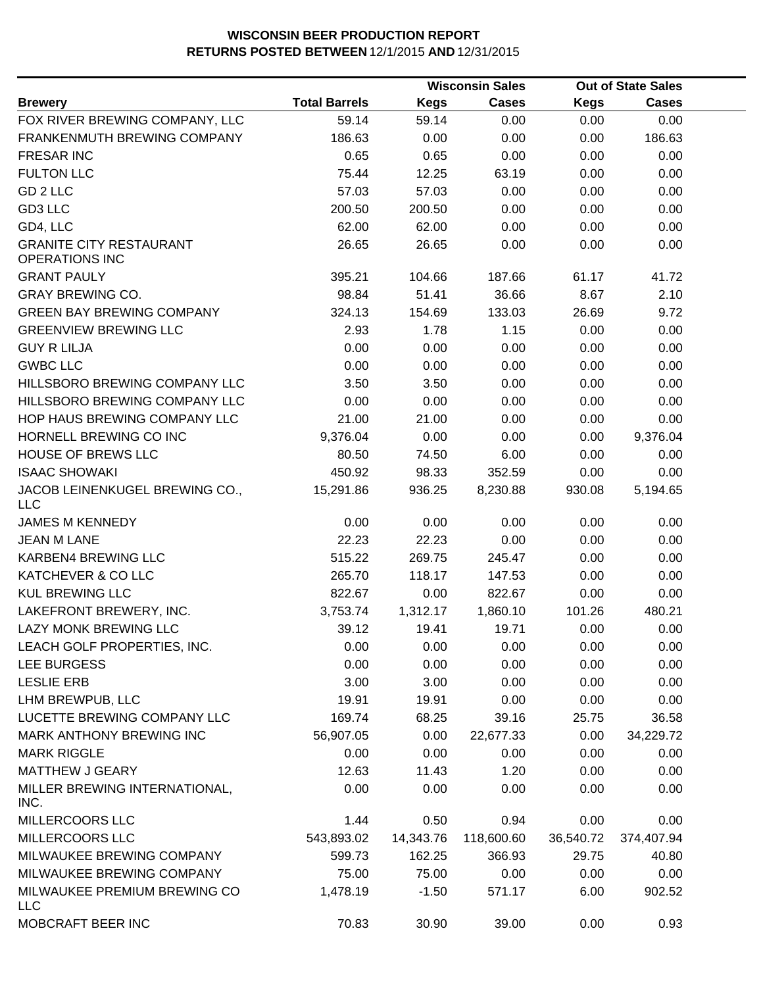|                                                         |                      |             | <b>Wisconsin Sales</b> |             | <b>Out of State Sales</b> |  |  |
|---------------------------------------------------------|----------------------|-------------|------------------------|-------------|---------------------------|--|--|
| <b>Brewery</b>                                          | <b>Total Barrels</b> | <b>Kegs</b> | <b>Cases</b>           | <b>Kegs</b> | <b>Cases</b>              |  |  |
| FOX RIVER BREWING COMPANY, LLC                          | 59.14                | 59.14       | 0.00                   | 0.00        | 0.00                      |  |  |
| FRANKENMUTH BREWING COMPANY                             | 186.63               | 0.00        | 0.00                   | 0.00        | 186.63                    |  |  |
| <b>FRESAR INC</b>                                       | 0.65                 | 0.65        | 0.00                   | 0.00        | 0.00                      |  |  |
| <b>FULTON LLC</b>                                       | 75.44                | 12.25       | 63.19                  | 0.00        | 0.00                      |  |  |
| GD <sub>2</sub> LLC                                     | 57.03                | 57.03       | 0.00                   | 0.00        | 0.00                      |  |  |
| GD3 LLC                                                 | 200.50               | 200.50      | 0.00                   | 0.00        | 0.00                      |  |  |
| GD4, LLC                                                | 62.00                | 62.00       | 0.00                   | 0.00        | 0.00                      |  |  |
| <b>GRANITE CITY RESTAURANT</b><br><b>OPERATIONS INC</b> | 26.65                | 26.65       | 0.00                   | 0.00        | 0.00                      |  |  |
| <b>GRANT PAULY</b>                                      | 395.21               | 104.66      | 187.66                 | 61.17       | 41.72                     |  |  |
| <b>GRAY BREWING CO.</b>                                 | 98.84                | 51.41       | 36.66                  | 8.67        | 2.10                      |  |  |
| <b>GREEN BAY BREWING COMPANY</b>                        | 324.13               | 154.69      | 133.03                 | 26.69       | 9.72                      |  |  |
| <b>GREENVIEW BREWING LLC</b>                            | 2.93                 | 1.78        | 1.15                   | 0.00        | 0.00                      |  |  |
| <b>GUY R LILJA</b>                                      | 0.00                 | 0.00        | 0.00                   | 0.00        | 0.00                      |  |  |
| <b>GWBC LLC</b>                                         | 0.00                 | 0.00        | 0.00                   | 0.00        | 0.00                      |  |  |
| HILLSBORO BREWING COMPANY LLC                           | 3.50                 | 3.50        | 0.00                   | 0.00        | 0.00                      |  |  |
| HILLSBORO BREWING COMPANY LLC                           | 0.00                 | 0.00        | 0.00                   | 0.00        | 0.00                      |  |  |
| HOP HAUS BREWING COMPANY LLC                            | 21.00                | 21.00       | 0.00                   | 0.00        | 0.00                      |  |  |
| HORNELL BREWING CO INC                                  | 9,376.04             | 0.00        | 0.00                   | 0.00        | 9,376.04                  |  |  |
| HOUSE OF BREWS LLC                                      | 80.50                | 74.50       | 6.00                   | 0.00        | 0.00                      |  |  |
| <b>ISAAC SHOWAKI</b>                                    | 450.92               | 98.33       | 352.59                 | 0.00        | 0.00                      |  |  |
| JACOB LEINENKUGEL BREWING CO.,<br><b>LLC</b>            | 15,291.86            | 936.25      | 8,230.88               | 930.08      | 5,194.65                  |  |  |
| <b>JAMES M KENNEDY</b>                                  | 0.00                 | 0.00        | 0.00                   | 0.00        | 0.00                      |  |  |
| <b>JEAN M LANE</b>                                      | 22.23                | 22.23       | 0.00                   | 0.00        | 0.00                      |  |  |
| KARBEN4 BREWING LLC                                     | 515.22               | 269.75      | 245.47                 | 0.00        | 0.00                      |  |  |
| KATCHEVER & CO LLC                                      | 265.70               | 118.17      | 147.53                 | 0.00        | 0.00                      |  |  |
| <b>KUL BREWING LLC</b>                                  | 822.67               | 0.00        | 822.67                 | 0.00        | 0.00                      |  |  |
| LAKEFRONT BREWERY, INC.                                 | 3,753.74             | 1,312.17    | 1,860.10               | 101.26      | 480.21                    |  |  |
| <b>LAZY MONK BREWING LLC</b>                            | 39.12                | 19.41       | 19.71                  | 0.00        | 0.00                      |  |  |
| LEACH GOLF PROPERTIES, INC.                             | 0.00                 | 0.00        | 0.00                   | 0.00        | 0.00                      |  |  |
| <b>LEE BURGESS</b>                                      | 0.00                 | 0.00        | 0.00                   | 0.00        | 0.00                      |  |  |
| <b>LESLIE ERB</b>                                       | 3.00                 | 3.00        | 0.00                   | 0.00        | 0.00                      |  |  |
| LHM BREWPUB, LLC                                        | 19.91                | 19.91       | 0.00                   | 0.00        | 0.00                      |  |  |
| LUCETTE BREWING COMPANY LLC                             | 169.74               | 68.25       | 39.16                  | 25.75       | 36.58                     |  |  |
| MARK ANTHONY BREWING INC                                | 56,907.05            | 0.00        | 22,677.33              | 0.00        | 34,229.72                 |  |  |
| <b>MARK RIGGLE</b>                                      | 0.00                 | 0.00        | 0.00                   | 0.00        | 0.00                      |  |  |
| <b>MATTHEW J GEARY</b>                                  | 12.63                | 11.43       | 1.20                   | 0.00        | 0.00                      |  |  |
| MILLER BREWING INTERNATIONAL,<br>INC.                   | 0.00                 | 0.00        | 0.00                   | 0.00        | 0.00                      |  |  |
| MILLERCOORS LLC                                         | 1.44                 | 0.50        | 0.94                   | 0.00        | 0.00                      |  |  |
| MILLERCOORS LLC                                         | 543,893.02           | 14,343.76   | 118,600.60             | 36,540.72   | 374,407.94                |  |  |
| MILWAUKEE BREWING COMPANY                               | 599.73               | 162.25      | 366.93                 | 29.75       | 40.80                     |  |  |
| MILWAUKEE BREWING COMPANY                               | 75.00                | 75.00       | 0.00                   | 0.00        | 0.00                      |  |  |
| MILWAUKEE PREMIUM BREWING CO<br><b>LLC</b>              | 1,478.19             | $-1.50$     | 571.17                 | 6.00        | 902.52                    |  |  |
| MOBCRAFT BEER INC                                       | 70.83                | 30.90       | 39.00                  | 0.00        | 0.93                      |  |  |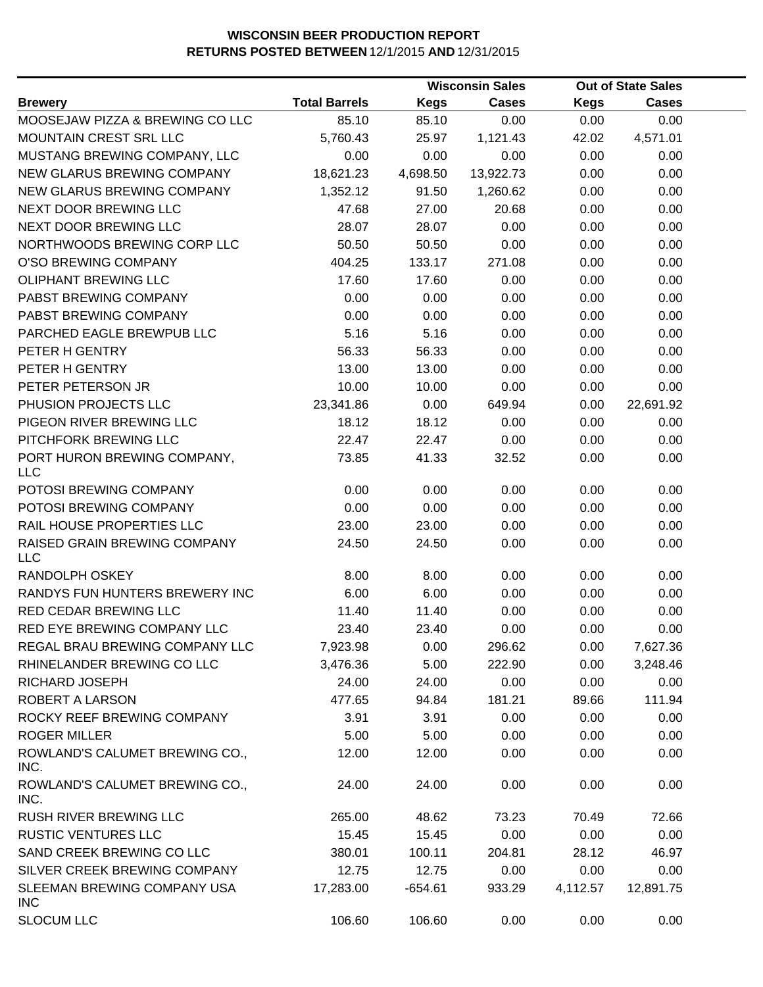|                                            |                      |             | <b>Wisconsin Sales</b> |             | <b>Out of State Sales</b> |  |
|--------------------------------------------|----------------------|-------------|------------------------|-------------|---------------------------|--|
| <b>Brewery</b>                             | <b>Total Barrels</b> | <b>Kegs</b> | <b>Cases</b>           | <b>Kegs</b> | <b>Cases</b>              |  |
| MOOSEJAW PIZZA & BREWING CO LLC            | 85.10                | 85.10       | 0.00                   | 0.00        | 0.00                      |  |
| MOUNTAIN CREST SRL LLC                     | 5,760.43             | 25.97       | 1,121.43               | 42.02       | 4,571.01                  |  |
| MUSTANG BREWING COMPANY, LLC               | 0.00                 | 0.00        | 0.00                   | 0.00        | 0.00                      |  |
| <b>NEW GLARUS BREWING COMPANY</b>          | 18,621.23            | 4,698.50    | 13,922.73              | 0.00        | 0.00                      |  |
| NEW GLARUS BREWING COMPANY                 | 1,352.12             | 91.50       | 1,260.62               | 0.00        | 0.00                      |  |
| NEXT DOOR BREWING LLC                      | 47.68                | 27.00       | 20.68                  | 0.00        | 0.00                      |  |
| NEXT DOOR BREWING LLC                      | 28.07                | 28.07       | 0.00                   | 0.00        | 0.00                      |  |
| NORTHWOODS BREWING CORP LLC                | 50.50                | 50.50       | 0.00                   | 0.00        | 0.00                      |  |
| O'SO BREWING COMPANY                       | 404.25               | 133.17      | 271.08                 | 0.00        | 0.00                      |  |
| <b>OLIPHANT BREWING LLC</b>                | 17.60                | 17.60       | 0.00                   | 0.00        | 0.00                      |  |
| PABST BREWING COMPANY                      | 0.00                 | 0.00        | 0.00                   | 0.00        | 0.00                      |  |
| PABST BREWING COMPANY                      | 0.00                 | 0.00        | 0.00                   | 0.00        | 0.00                      |  |
| PARCHED EAGLE BREWPUB LLC                  | 5.16                 | 5.16        | 0.00                   | 0.00        | 0.00                      |  |
| PETER H GENTRY                             | 56.33                | 56.33       | 0.00                   | 0.00        | 0.00                      |  |
| PETER H GENTRY                             | 13.00                | 13.00       | 0.00                   | 0.00        | 0.00                      |  |
| PETER PETERSON JR                          | 10.00                | 10.00       | 0.00                   | 0.00        | 0.00                      |  |
| PHUSION PROJECTS LLC                       | 23,341.86            | 0.00        | 649.94                 | 0.00        | 22,691.92                 |  |
| PIGEON RIVER BREWING LLC                   | 18.12                | 18.12       | 0.00                   | 0.00        | 0.00                      |  |
| PITCHFORK BREWING LLC                      | 22.47                | 22.47       | 0.00                   | 0.00        | 0.00                      |  |
| PORT HURON BREWING COMPANY,<br><b>LLC</b>  | 73.85                | 41.33       | 32.52                  | 0.00        | 0.00                      |  |
| POTOSI BREWING COMPANY                     | 0.00                 | 0.00        | 0.00                   | 0.00        | 0.00                      |  |
| POTOSI BREWING COMPANY                     | 0.00                 | 0.00        | 0.00                   | 0.00        | 0.00                      |  |
| RAIL HOUSE PROPERTIES LLC                  | 23.00                | 23.00       | 0.00                   | 0.00        | 0.00                      |  |
| RAISED GRAIN BREWING COMPANY<br><b>LLC</b> | 24.50                | 24.50       | 0.00                   | 0.00        | 0.00                      |  |
| <b>RANDOLPH OSKEY</b>                      | 8.00                 | 8.00        | 0.00                   | 0.00        | 0.00                      |  |
| RANDYS FUN HUNTERS BREWERY INC             | 6.00                 | 6.00        | 0.00                   | 0.00        | 0.00                      |  |
| RED CEDAR BREWING LLC                      | 11.40                | 11.40       | 0.00                   | 0.00        | 0.00                      |  |
| RED EYE BREWING COMPANY LLC                | 23.40                | 23.40       | 0.00                   | 0.00        | 0.00                      |  |
| REGAL BRAU BREWING COMPANY LLC             | 7,923.98             | 0.00        | 296.62                 | 0.00        | 7,627.36                  |  |
| RHINELANDER BREWING CO LLC                 | 3,476.36             | 5.00        | 222.90                 | 0.00        | 3,248.46                  |  |
| RICHARD JOSEPH                             | 24.00                | 24.00       | 0.00                   | 0.00        | 0.00                      |  |
| ROBERT A LARSON                            | 477.65               | 94.84       | 181.21                 | 89.66       | 111.94                    |  |
| ROCKY REEF BREWING COMPANY                 | 3.91                 | 3.91        | 0.00                   | 0.00        | 0.00                      |  |
| <b>ROGER MILLER</b>                        | 5.00                 | 5.00        | 0.00                   | 0.00        | 0.00                      |  |
| ROWLAND'S CALUMET BREWING CO.,<br>INC.     | 12.00                | 12.00       | 0.00                   | 0.00        | 0.00                      |  |
| ROWLAND'S CALUMET BREWING CO.,<br>INC.     | 24.00                | 24.00       | 0.00                   | 0.00        | 0.00                      |  |
| RUSH RIVER BREWING LLC                     | 265.00               | 48.62       | 73.23                  | 70.49       | 72.66                     |  |
| <b>RUSTIC VENTURES LLC</b>                 | 15.45                | 15.45       | 0.00                   | 0.00        | 0.00                      |  |
| SAND CREEK BREWING CO LLC                  | 380.01               | 100.11      | 204.81                 | 28.12       | 46.97                     |  |
| SILVER CREEK BREWING COMPANY               | 12.75                | 12.75       | 0.00                   | 0.00        | 0.00                      |  |
| SLEEMAN BREWING COMPANY USA<br><b>INC</b>  | 17,283.00            | $-654.61$   | 933.29                 | 4,112.57    | 12,891.75                 |  |
| <b>SLOCUM LLC</b>                          | 106.60               | 106.60      | 0.00                   | 0.00        | 0.00                      |  |